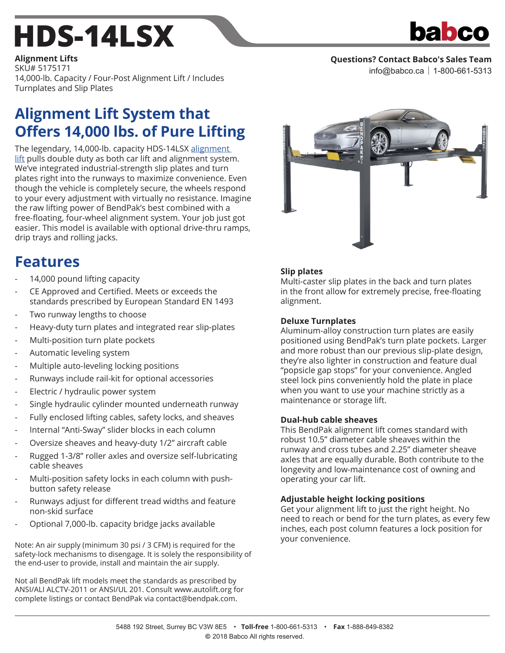## **[HDS-14LSX](http://www.babco.ca/BendPak-HDS-14LSX)**



**Questions? Contact Babco's Sales Team**

info@babco.ca | 1-800-661-5313

**[Alignment Lifts](http://www.babco.ca/lifts/alignment-lifts)** SKU# 5175171 14,000-lb. Capacity / Four-Post Alignment Lift / Includes Turnplates and Slip Plates

## **Alignment Lift System that Offers 14,000 lbs. of Pure Lifting**

The legendary, 14,000-lb. capacity HDS-14LSX alignment [lift](http://www.babco.ca/lifts/alignment-lifts) pulls double duty as both car lift and alignment system. We've integrated industrial-strength slip plates and turn plates right into the runways to maximize convenience. Even though the vehicle is completely secure, the wheels respond to your every adjustment with virtually no resistance. Imagine the raw lifting power of BendPak's best combined with a free-floating, four-wheel alignment system. Your job just got easier. This model is available with optional drive-thru ramps, drip trays and rolling jacks.

### **Features**

- 14,000 pound lifting capacity
- CE Approved and Certified. Meets or exceeds the standards prescribed by European Standard EN 1493
- Two runway lengths to choose
- Heavy-duty turn plates and integrated rear slip-plates
- Multi-position turn plate pockets
- Automatic leveling system
- Multiple auto-leveling locking positions
- Runways include rail-kit for optional accessories
- Electric / hydraulic power system
- Single hydraulic cylinder mounted underneath runway
- Fully enclosed lifting cables, safety locks, and sheaves
- Internal "Anti-Sway" slider blocks in each column
- Oversize sheaves and heavy-duty 1/2" aircraft cable
- Rugged 1-3/8" roller axles and oversize self-lubricating cable sheaves
- Multi-position safety locks in each column with pushbutton safety release
- Runways adjust for different tread widths and feature non-skid surface
- Optional 7,000-lb. capacity bridge jacks available

Note: An air supply (minimum 30 psi / 3 CFM) is required for the safety-lock mechanisms to disengage. It is solely the responsibility of the end-user to provide, install and maintain the air supply.

Not all BendPak lift models meet the standards as prescribed by ANSI/ALI ALCTV-2011 or ANSI/UL 201. Consult www.autolift.org for complete listings or contact BendPak via contact@bendpak.com.



#### **Slip plates**

Multi-caster slip plates in the back and turn plates in the front allow for extremely precise, free-floating alignment.

#### **Deluxe Turnplates**

Aluminum-alloy construction turn plates are easily positioned using BendPak's turn plate pockets. Larger and more robust than our previous slip-plate design, they're also lighter in construction and feature dual "popsicle gap stops" for your convenience. Angled steel lock pins conveniently hold the plate in place when you want to use your machine strictly as a maintenance or storage lift.

#### **Dual-hub cable sheaves**

This BendPak alignment lift comes standard with robust 10.5" diameter cable sheaves within the runway and cross tubes and 2.25" diameter sheave axles that are equally durable. Both contribute to the longevity and low-maintenance cost of owning and operating your car lift.

#### **Adjustable height locking positions**

Get your alignment lift to just the right height. No need to reach or bend for the turn plates, as every few inches, each post column features a lock position for your convenience.